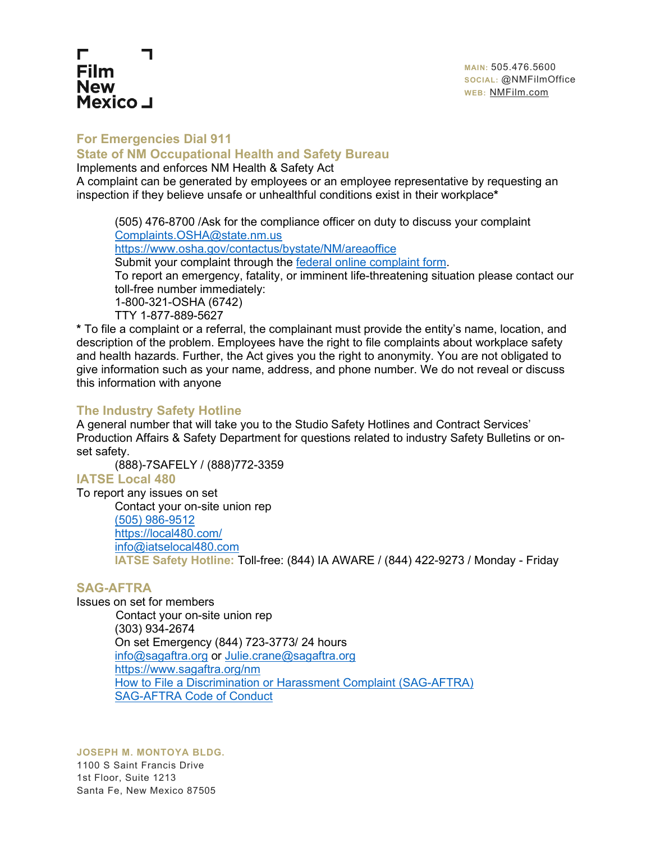# **For Emergencies Dial 911**

Г **Film New** 

**Mexico** J

## **State of NM Occupational Health and Safety Bureau**

Implements and enforces NM Health & Safety Act

A complaint can be generated by employees or an employee representative by requesting an inspection if they believe unsafe or unhealthful conditions exist in their workplace**\***

(505) 476-8700 /Ask for the compliance officer on duty to discuss your complaint [Complaints.OSHA@state.nm.us](mailto:Complaints.OSHA@state.nm.us) <https://www.osha.gov/contactus/bystate/NM/areaoffice> Submit your complaint through the [federal online complaint form.](https://www.osha.gov/pls/osha7/eComplaintForm.html) To report an emergency, fatality, or imminent life-threatening situation please contact our toll-free number immediately: 1-800-321-OSHA (6742) TTY 1-877-889-5627

**\*** To file a complaint or a referral, the complainant must provide the entity's name, location, and description of the problem. Employees have the right to file complaints about workplace safety and health hazards. Further, the Act gives you the right to anonymity. You are not obligated to give information such as your name, address, and phone number. We do not reveal or discuss this information with anyone

# **The Industry Safety Hotline**

A general number that will take you to the Studio Safety Hotlines and Contract Services' Production Affairs & Safety Department for questions related to industry Safety Bulletins or onset safety.

(888)-7SAFELY / (888)772-3359

# **IATSE Local 480**

To report any issues on set Contact your on-site union rep [\(505\) 986-9512](tel:5059869512) https://local480.com/ info@iatselocal480.com **IATSE Safety Hotline:** Toll-free: (844) IA AWARE / (844) 422-9273 / Monday - Friday

## **SAG-AFTRA**

Issues on set for members Contact your on-site union rep (303) 934-2674 On set Emergency (844) 723-3773/ 24 hours [info@sagaftra.org](mailto:info@sagaftra.org) or [Julie.crane@sagaftra.org](mailto:Julie.crane@sagaftra.org) <https://www.sagaftra.org/nm> [How to File a Discrimination or Harassment Complaint \(SAG-AFTRA\)](https://www.sagaftra.org/membership-benefits/equity-inclusion/how-file-discrimination-or-harassment-complaint) [SAG-AFTRA Code of Conduct](https://www.sagaftra.org/sag-aftra-code-conduct)

**JOSEPH M. MONTOYA BLDG.**

1100 S Saint Francis Drive 1st Floor, Suite 1213 Santa Fe, New Mexico 87505